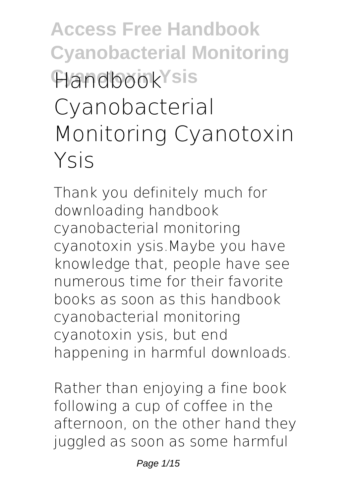**Access Free Handbook Cyanobacterial Monitoring Handbook**Ysis **Cyanobacterial Monitoring Cyanotoxin Ysis**

Thank you definitely much for downloading **handbook cyanobacterial monitoring cyanotoxin ysis**.Maybe you have knowledge that, people have see numerous time for their favorite books as soon as this handbook cyanobacterial monitoring cyanotoxin ysis, but end happening in harmful downloads.

Rather than enjoying a fine book following a cup of coffee in the afternoon, on the other hand they juggled as soon as some harmful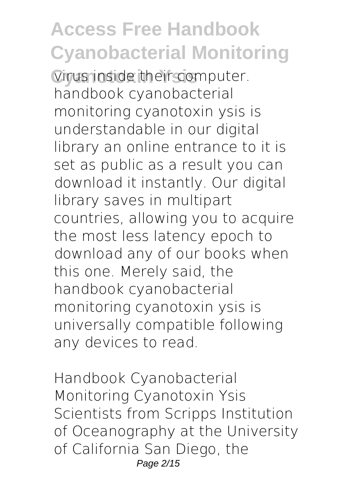**Cirus inside their computer. handbook cyanobacterial monitoring cyanotoxin ysis** is understandable in our digital library an online entrance to it is set as public as a result you can download it instantly. Our digital library saves in multipart countries, allowing you to acquire the most less latency epoch to download any of our books when this one. Merely said, the handbook cyanobacterial monitoring cyanotoxin ysis is universally compatible following any devices to read.

**Handbook Cyanobacterial Monitoring Cyanotoxin Ysis** Scientists from Scripps Institution of Oceanography at the University of California San Diego, the Page 2/15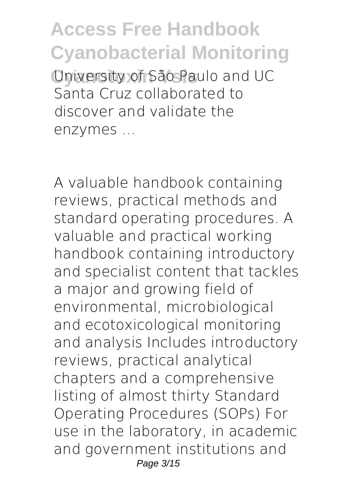**Access Free Handbook Cyanobacterial Monitoring Cyanotoxin Ysis** University of São Paulo and UC Santa Cruz collaborated to discover and validate the enzymes ...

A valuable handbook containing reviews, practical methods and standard operating procedures. A valuable and practical working handbook containing introductory and specialist content that tackles a major and growing field of environmental, microbiological and ecotoxicological monitoring and analysis Includes introductory reviews, practical analytical chapters and a comprehensive listing of almost thirty Standard Operating Procedures (SOPs) For use in the laboratory, in academic and government institutions and Page 3/15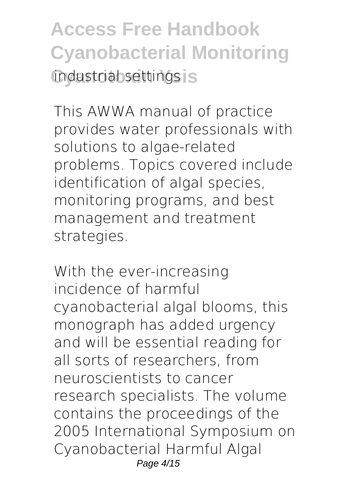**Access Free Handbook Cyanobacterial Monitoring** industriab settings is

This AWWA manual of practice provides water professionals with solutions to algae-related problems. Topics covered include identification of algal species, monitoring programs, and best management and treatment strategies.

With the ever-increasing incidence of harmful cyanobacterial algal blooms, this monograph has added urgency and will be essential reading for all sorts of researchers, from neuroscientists to cancer research specialists. The volume contains the proceedings of the 2005 International Symposium on Cyanobacterial Harmful Algal Page 4/15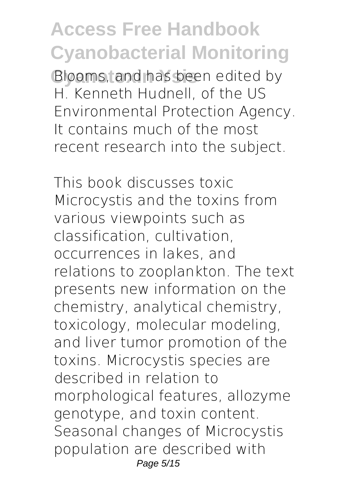**Cyanotoxin Ysis** Blooms, and has been edited by H. Kenneth Hudnell, of the US Environmental Protection Agency. It contains much of the most recent research into the subject.

This book discusses toxic Microcystis and the toxins from various viewpoints such as classification, cultivation, occurrences in lakes, and relations to zooplankton. The text presents new information on the chemistry, analytical chemistry, toxicology, molecular modeling, and liver tumor promotion of the toxins. Microcystis species are described in relation to morphological features, allozyme genotype, and toxin content. Seasonal changes of Microcystis population are described with Page 5/15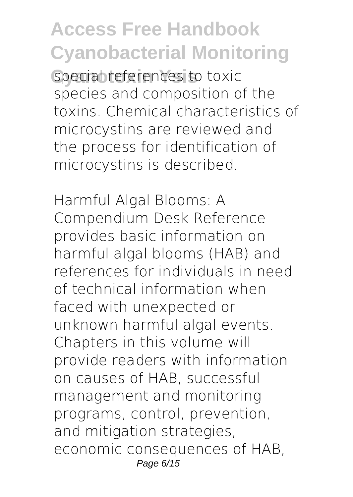**Special references to toxic** species and composition of the toxins. Chemical characteristics of microcystins are reviewed and the process for identification of microcystins is described.

Harmful Algal Blooms: A Compendium Desk Reference provides basic information on harmful algal blooms (HAB) and references for individuals in need of technical information when faced with unexpected or unknown harmful algal events. Chapters in this volume will provide readers with information on causes of HAB, successful management and monitoring programs, control, prevention, and mitigation strategies, economic consequences of HAB, Page 6/15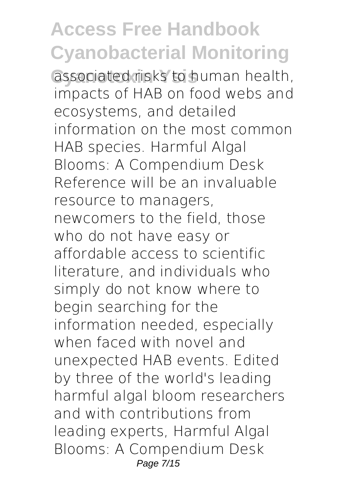associated risks to human health, impacts of HAB on food webs and ecosystems, and detailed information on the most common HAB species. Harmful Algal Blooms: A Compendium Desk Reference will be an invaluable resource to managers, newcomers to the field, those who do not have easy or affordable access to scientific literature, and individuals who simply do not know where to begin searching for the information needed, especially when faced with novel and unexpected HAB events. Edited by three of the world's leading harmful algal bloom researchers and with contributions from leading experts, Harmful Algal Blooms: A Compendium Desk Page 7/15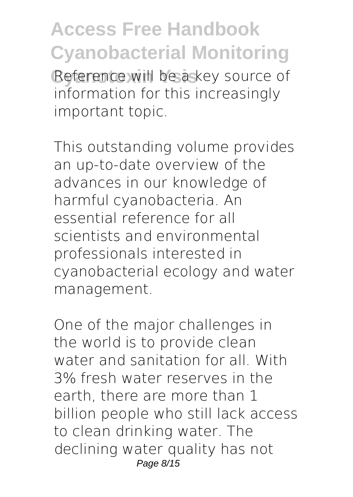Reference will be a key source of information for this increasingly important topic.

This outstanding volume provides an up-to-date overview of the advances in our knowledge of harmful cyanobacteria. An essential reference for all scientists and environmental professionals interested in cyanobacterial ecology and water management.

One of the major challenges in the world is to provide clean water and sanitation for all. With 3% fresh water reserves in the earth, there are more than 1 billion people who still lack access to clean drinking water. The declining water quality has not Page 8/15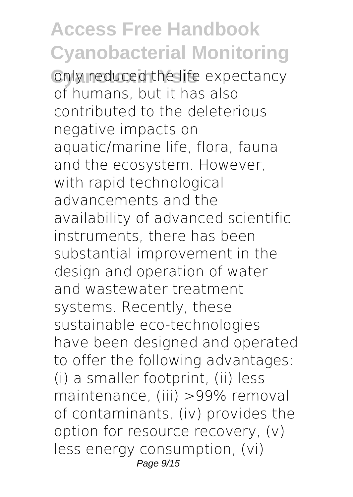**Conly reduced the life expectancy** of humans, but it has also contributed to the deleterious negative impacts on aquatic/marine life, flora, fauna and the ecosystem. However, with rapid technological advancements and the availability of advanced scientific instruments, there has been substantial improvement in the design and operation of water and wastewater treatment systems. Recently, these sustainable eco-technologies have been designed and operated to offer the following advantages: (i) a smaller footprint, (ii) less maintenance, (iii) >99% removal of contaminants, (iv) provides the option for resource recovery, (v) less energy consumption, (vi) Page 9/15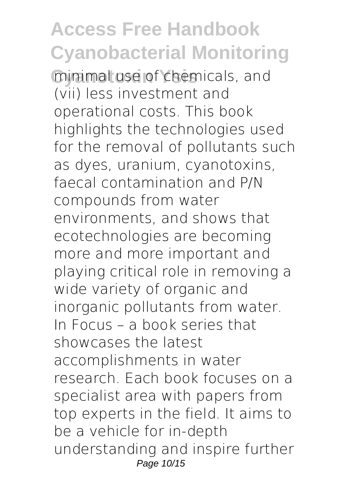**Cyanotoxin Ysis** minimal use of chemicals, and (vii) less investment and operational costs. This book highlights the technologies used for the removal of pollutants such as dyes, uranium, cyanotoxins, faecal contamination and P/N compounds from water environments, and shows that ecotechnologies are becoming more and more important and playing critical role in removing a wide variety of organic and inorganic pollutants from water. In Focus – a book series that showcases the latest accomplishments in water research. Each book focuses on a specialist area with papers from top experts in the field. It aims to be a vehicle for in-depth understanding and inspire further Page 10/15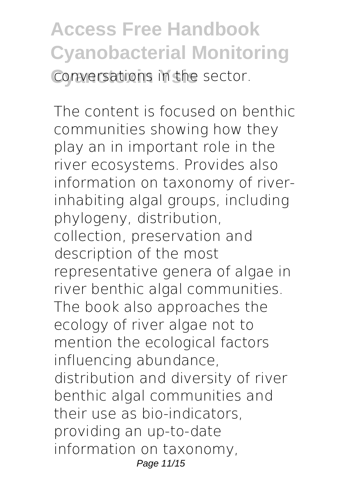**Access Free Handbook Cyanobacterial Monitoring Conversations in the sector.** 

The content is focused on benthic communities showing how they play an in important role in the river ecosystems. Provides also information on taxonomy of riverinhabiting algal groups, including phylogeny, distribution, collection, preservation and description of the most representative genera of algae in river benthic algal communities. The book also approaches the ecology of river algae not to mention the ecological factors influencing abundance, distribution and diversity of river benthic algal communities and their use as bio-indicators, providing an up-to-date information on taxonomy, Page 11/15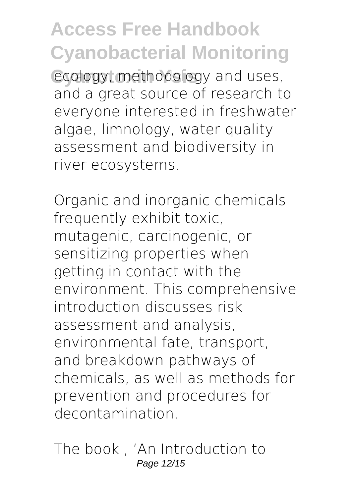ecology, methodology and uses, and a great source of research to everyone interested in freshwater algae, limnology, water quality assessment and biodiversity in river ecosystems.

Organic and inorganic chemicals frequently exhibit toxic, mutagenic, carcinogenic, or sensitizing properties when getting in contact with the environment. This comprehensive introduction discusses risk assessment and analysis, environmental fate, transport, and breakdown pathways of chemicals, as well as methods for prevention and procedures for decontamination.

The book , 'An Introduction to Page 12/15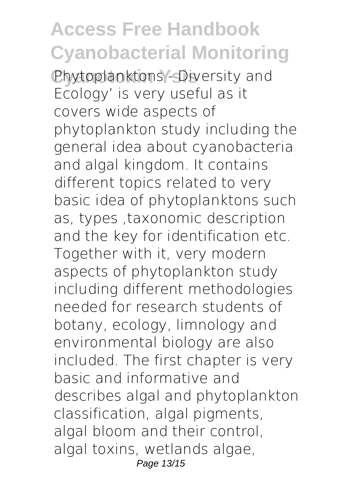Phytoplanktons - Diversity and Ecology' is very useful as it covers wide aspects of phytoplankton study including the general idea about cyanobacteria and algal kingdom. It contains different topics related to very basic idea of phytoplanktons such as, types ,taxonomic description and the key for identification etc. Together with it, very modern aspects of phytoplankton study including different methodologies needed for research students of botany, ecology, limnology and environmental biology are also included. The first chapter is very basic and informative and describes algal and phytoplankton classification, algal pigments, algal bloom and their control, algal toxins, wetlands algae, Page 13/15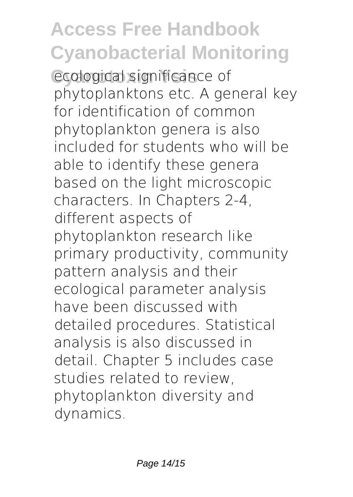ecological significance of phytoplanktons etc. A general key for identification of common phytoplankton genera is also included for students who will be able to identify these genera based on the light microscopic characters. In Chapters 2-4, different aspects of phytoplankton research like primary productivity, community pattern analysis and their ecological parameter analysis have been discussed with detailed procedures. Statistical analysis is also discussed in detail. Chapter 5 includes case studies related to review, phytoplankton diversity and dynamics.